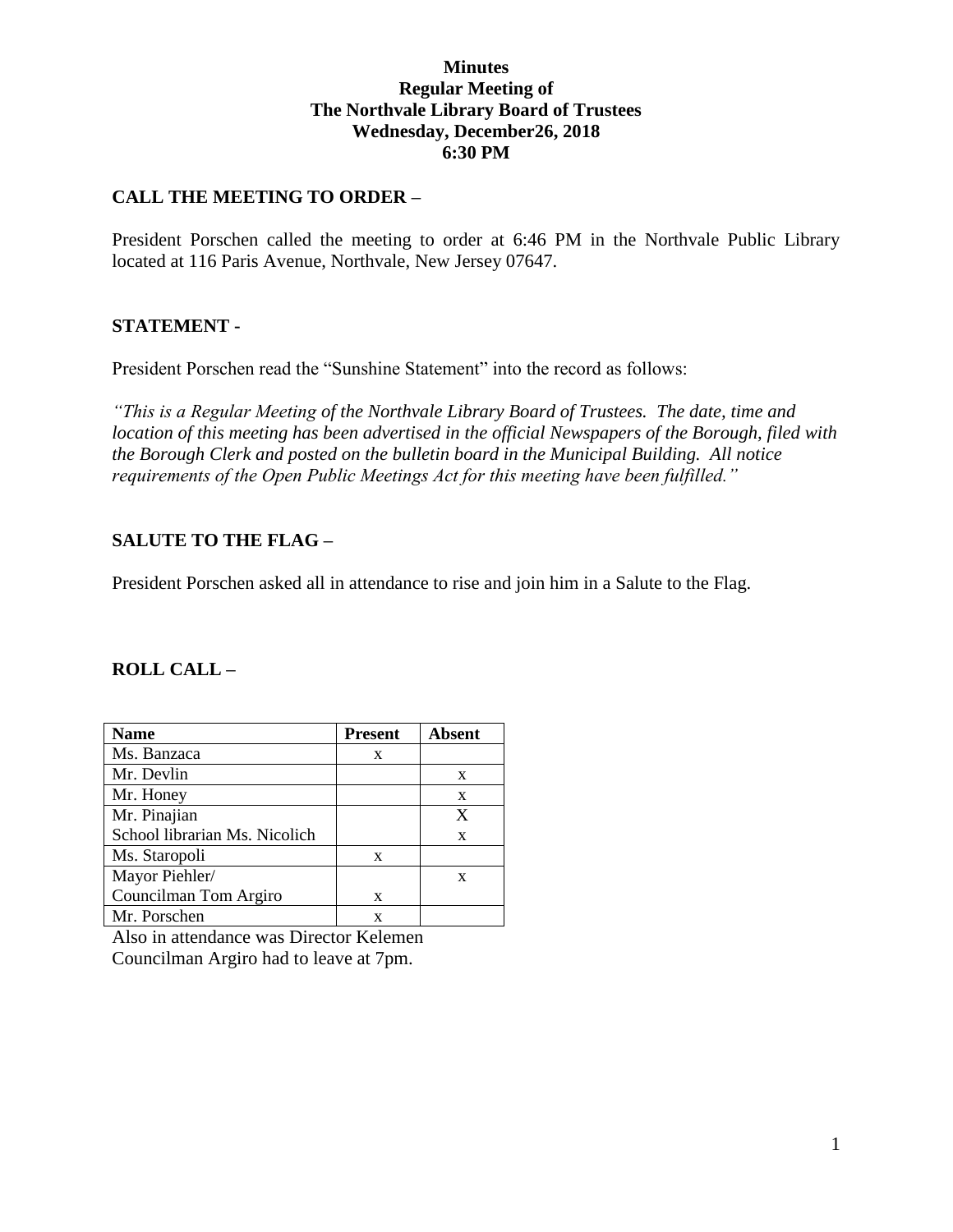## **Minutes Regular Meeting of The Northvale Library Board of Trustees Wednesday, December26, 2018 6:30 PM**

## **CALL THE MEETING TO ORDER –**

President Porschen called the meeting to order at 6:46 PM in the Northvale Public Library located at 116 Paris Avenue, Northvale, New Jersey 07647.

#### **STATEMENT -**

President Porschen read the "Sunshine Statement" into the record as follows:

*"This is a Regular Meeting of the Northvale Library Board of Trustees. The date, time and location of this meeting has been advertised in the official Newspapers of the Borough, filed with the Borough Clerk and posted on the bulletin board in the Municipal Building. All notice requirements of the Open Public Meetings Act for this meeting have been fulfilled."* 

### **SALUTE TO THE FLAG –**

President Porschen asked all in attendance to rise and join him in a Salute to the Flag.

#### **ROLL CALL –**

| <b>Name</b>                   | <b>Present</b> | Absent |
|-------------------------------|----------------|--------|
| Ms. Banzaca                   | X              |        |
| Mr. Devlin                    |                | X      |
| Mr. Honey                     |                | X      |
| Mr. Pinajian                  |                | X      |
| School librarian Ms. Nicolich |                | X      |
| Ms. Staropoli                 | X              |        |
| Mayor Piehler/                |                | X      |
| Councilman Tom Argiro         | X              |        |
| Mr. Porschen                  | x              |        |

Also in attendance was Director Kelemen Councilman Argiro had to leave at 7pm.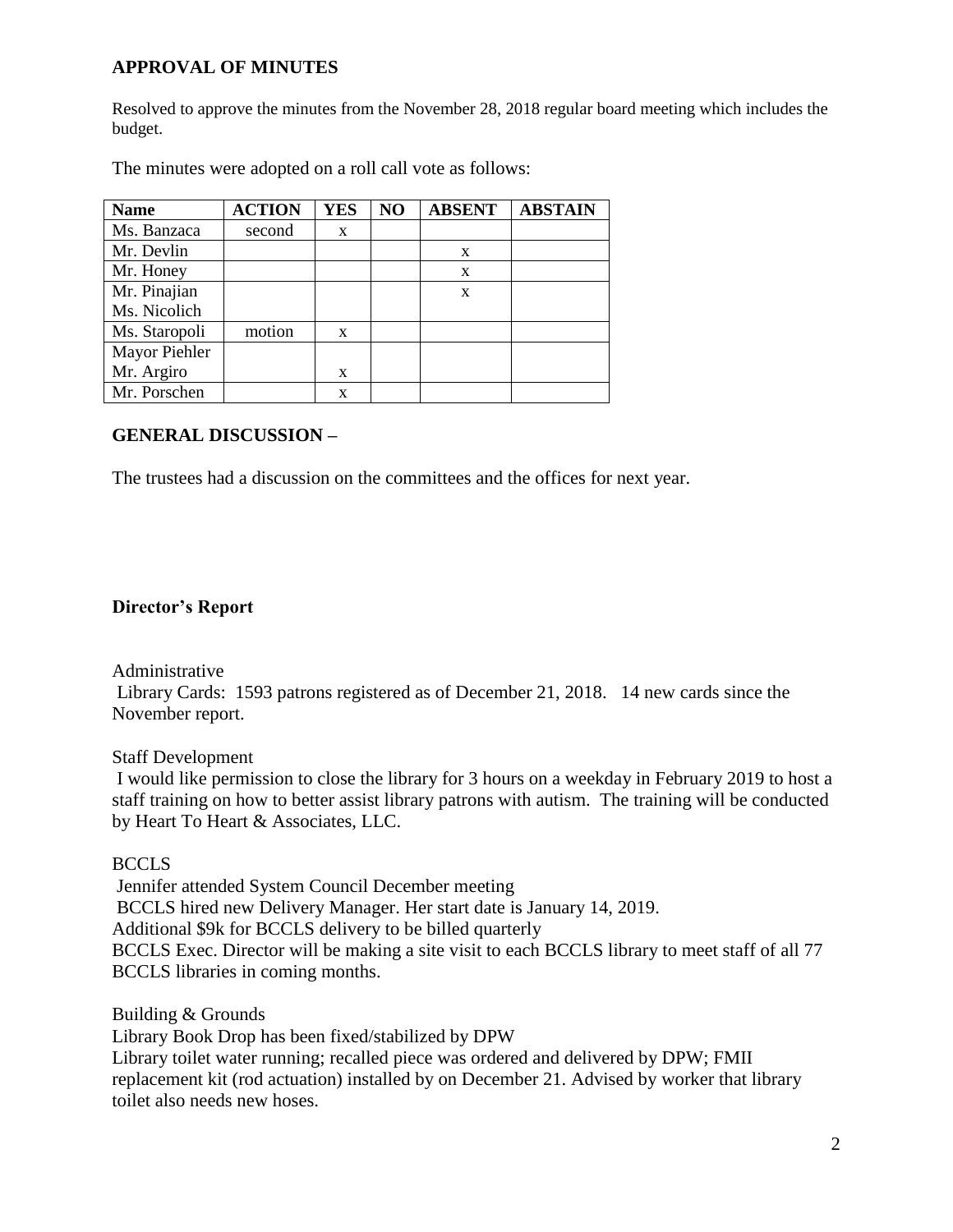# **APPROVAL OF MINUTES**

Resolved to approve the minutes from the November 28, 2018 regular board meeting which includes the budget.

The minutes were adopted on a roll call vote as follows:

| <b>Name</b>   | <b>ACTION</b> | <b>YES</b> | NO | <b>ABSENT</b> | <b>ABSTAIN</b> |
|---------------|---------------|------------|----|---------------|----------------|
| Ms. Banzaca   | second        | X          |    |               |                |
| Mr. Devlin    |               |            |    | X             |                |
| Mr. Honey     |               |            |    | X             |                |
| Mr. Pinajian  |               |            |    | X             |                |
| Ms. Nicolich  |               |            |    |               |                |
| Ms. Staropoli | motion        | X          |    |               |                |
| Mayor Piehler |               |            |    |               |                |
| Mr. Argiro    |               | X          |    |               |                |
| Mr. Porschen  |               | X          |    |               |                |

### **GENERAL DISCUSSION –**

The trustees had a discussion on the committees and the offices for next year.

## **Director's Report**

Administrative

Library Cards: 1593 patrons registered as of December 21, 2018. 14 new cards since the November report.

Staff Development

I would like permission to close the library for 3 hours on a weekday in February 2019 to host a staff training on how to better assist library patrons with autism. The training will be conducted by Heart To Heart & Associates, LLC.

#### BCCLS

Jennifer attended System Council December meeting BCCLS hired new Delivery Manager. Her start date is January 14, 2019. Additional \$9k for BCCLS delivery to be billed quarterly BCCLS Exec. Director will be making a site visit to each BCCLS library to meet staff of all 77 BCCLS libraries in coming months.

Building & Grounds Library Book Drop has been fixed/stabilized by DPW Library toilet water running; recalled piece was ordered and delivered by DPW; FMII replacement kit (rod actuation) installed by on December 21. Advised by worker that library toilet also needs new hoses.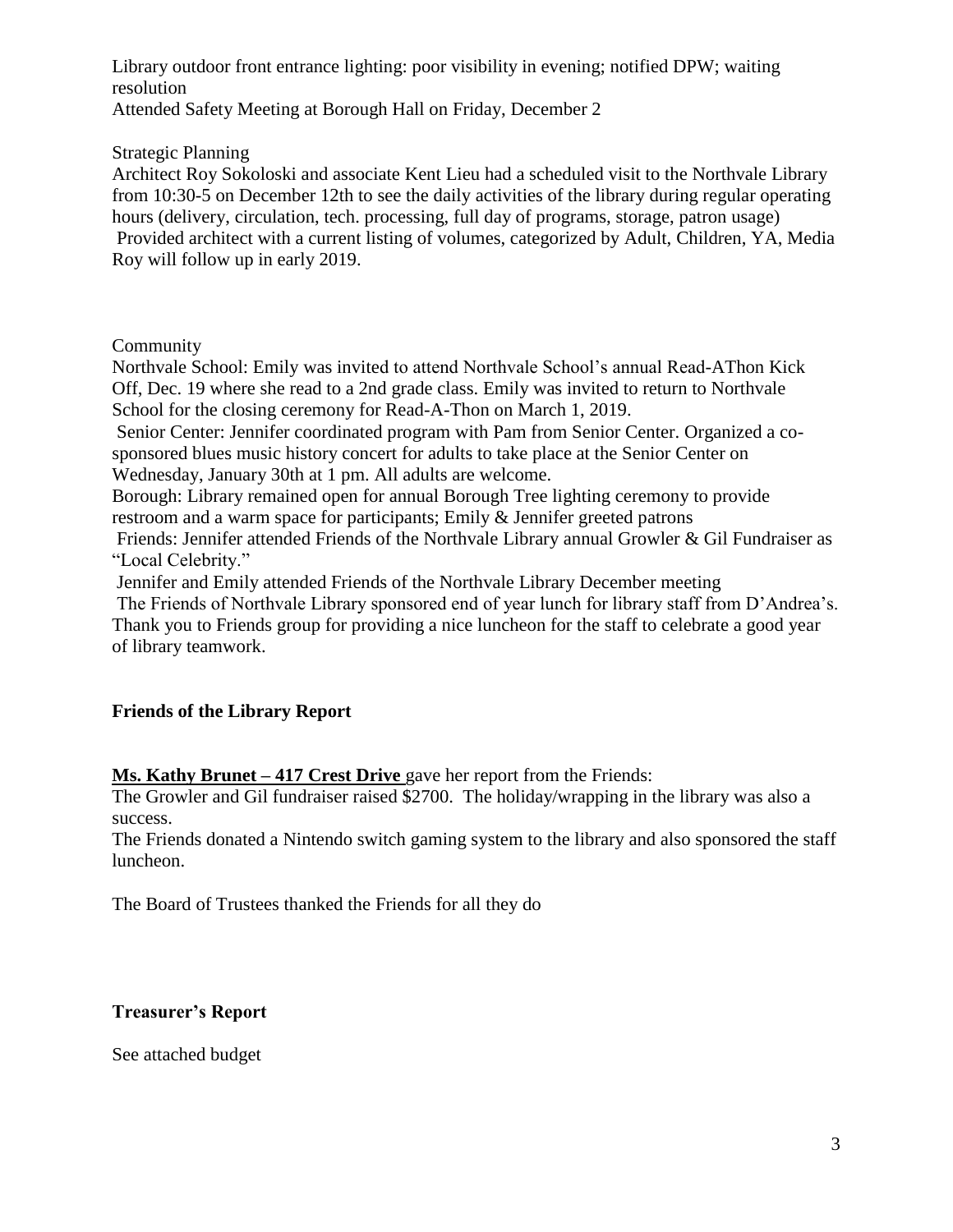Library outdoor front entrance lighting: poor visibility in evening; notified DPW; waiting resolution Attended Safety Meeting at Borough Hall on Friday, December 2

#### Strategic Planning

Architect Roy Sokoloski and associate Kent Lieu had a scheduled visit to the Northvale Library from 10:30-5 on December 12th to see the daily activities of the library during regular operating hours (delivery, circulation, tech. processing, full day of programs, storage, patron usage) Provided architect with a current listing of volumes, categorized by Adult, Children, YA, Media Roy will follow up in early 2019.

### Community

Northvale School: Emily was invited to attend Northvale School's annual Read-AThon Kick Off, Dec. 19 where she read to a 2nd grade class. Emily was invited to return to Northvale School for the closing ceremony for Read-A-Thon on March 1, 2019.

Senior Center: Jennifer coordinated program with Pam from Senior Center. Organized a cosponsored blues music history concert for adults to take place at the Senior Center on Wednesday, January 30th at 1 pm. All adults are welcome.

Borough: Library remained open for annual Borough Tree lighting ceremony to provide restroom and a warm space for participants; Emily & Jennifer greeted patrons

Friends: Jennifer attended Friends of the Northvale Library annual Growler & Gil Fundraiser as "Local Celebrity."

Jennifer and Emily attended Friends of the Northvale Library December meeting

The Friends of Northvale Library sponsored end of year lunch for library staff from D'Andrea's.

Thank you to Friends group for providing a nice luncheon for the staff to celebrate a good year of library teamwork.

## **Friends of the Library Report**

**Ms. Kathy Brunet – 417 Crest Drive** gave her report from the Friends:

The Growler and Gil fundraiser raised \$2700. The holiday/wrapping in the library was also a success.

The Friends donated a Nintendo switch gaming system to the library and also sponsored the staff luncheon.

The Board of Trustees thanked the Friends for all they do

## **Treasurer's Report**

See attached budget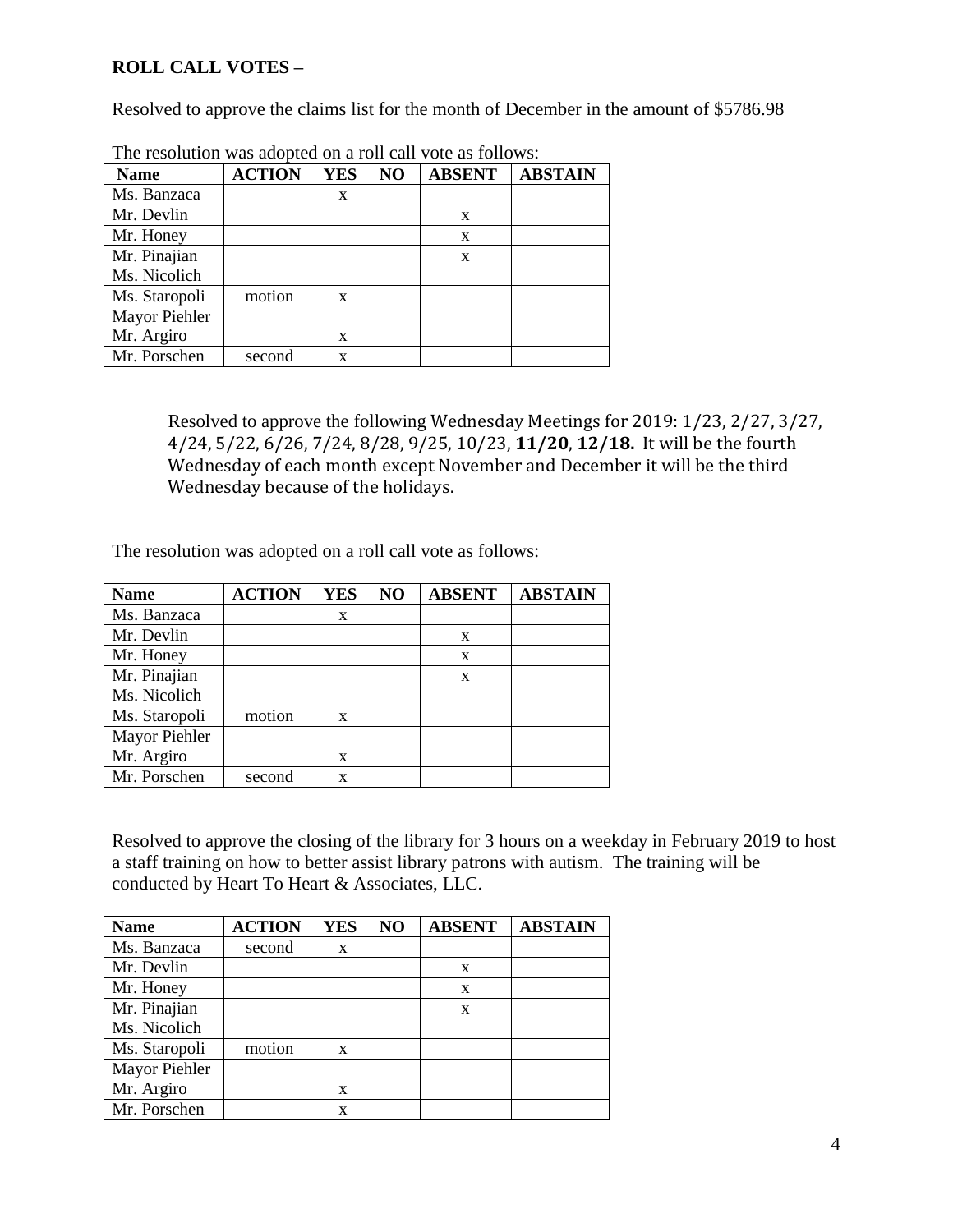# **ROLL CALL VOTES –**

Resolved to approve the claims list for the month of December in the amount of \$5786.98

| <b>Name</b>   | <b>ACTION</b> | <b>YES</b> | N <sub>O</sub> | <b>ABSENT</b> | <b>ABSTAIN</b> |
|---------------|---------------|------------|----------------|---------------|----------------|
| Ms. Banzaca   |               | X          |                |               |                |
| Mr. Devlin    |               |            |                | X             |                |
| Mr. Honey     |               |            |                | X             |                |
| Mr. Pinajian  |               |            |                | X             |                |
| Ms. Nicolich  |               |            |                |               |                |
| Ms. Staropoli | motion        | X          |                |               |                |
| Mayor Piehler |               |            |                |               |                |
| Mr. Argiro    |               | X          |                |               |                |
| Mr. Porschen  | second        | X          |                |               |                |

The resolution was adopted on a roll call vote as follows:

Resolved to approve the following Wednesday Meetings for 2019: 1/23, 2/27, 3/27, 4/24, 5/22, 6/26, 7/24, 8/28, 9/25, 10/23, **11/20**, **12/18.** It will be the fourth Wednesday of each month except November and December it will be the third Wednesday because of the holidays.

The resolution was adopted on a roll call vote as follows:

| <b>Name</b>   | <b>ACTION</b> | <b>YES</b> | NO | <b>ABSENT</b> | <b>ABSTAIN</b> |
|---------------|---------------|------------|----|---------------|----------------|
| Ms. Banzaca   |               | X          |    |               |                |
| Mr. Devlin    |               |            |    | X             |                |
| Mr. Honey     |               |            |    | X             |                |
| Mr. Pinajian  |               |            |    | X             |                |
| Ms. Nicolich  |               |            |    |               |                |
| Ms. Staropoli | motion        | X          |    |               |                |
| Mayor Piehler |               |            |    |               |                |
| Mr. Argiro    |               | X          |    |               |                |
| Mr. Porschen  | second        | X          |    |               |                |

Resolved to approve the closing of the library for 3 hours on a weekday in February 2019 to host a staff training on how to better assist library patrons with autism. The training will be conducted by Heart To Heart & Associates, LLC.

| <b>Name</b>   | <b>ACTION</b> | <b>YES</b> | NO | <b>ABSENT</b> | <b>ABSTAIN</b> |
|---------------|---------------|------------|----|---------------|----------------|
| Ms. Banzaca   | second        | X          |    |               |                |
| Mr. Devlin    |               |            |    | X             |                |
| Mr. Honey     |               |            |    | X             |                |
| Mr. Pinajian  |               |            |    | X             |                |
| Ms. Nicolich  |               |            |    |               |                |
| Ms. Staropoli | motion        | X          |    |               |                |
| Mayor Piehler |               |            |    |               |                |
| Mr. Argiro    |               | X          |    |               |                |
| Mr. Porschen  |               | X          |    |               |                |